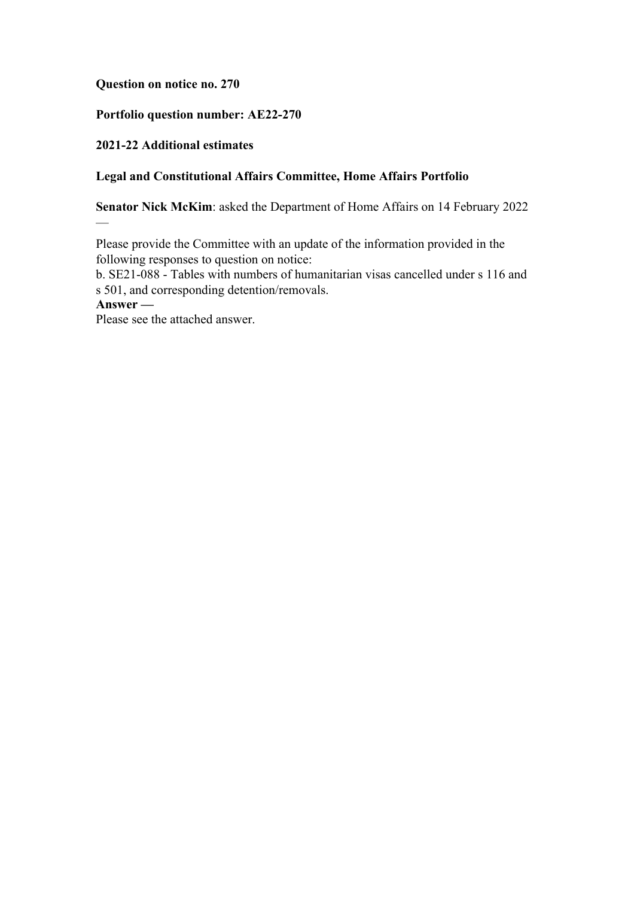# **Question on notice no. 270**

## **Portfolio question number: AE22-270**

## **2021-22 Additional estimates**

## **Legal and Constitutional Affairs Committee, Home Affairs Portfolio**

**Senator Nick McKim**: asked the Department of Home Affairs on 14 February 2022

Please provide the Committee with an update of the information provided in the following responses to question on notice:

b. SE21-088 - Tables with numbers of humanitarian visas cancelled under s 116 and s 501, and corresponding detention/removals.

**Answer —**

—

Please see the attached answer.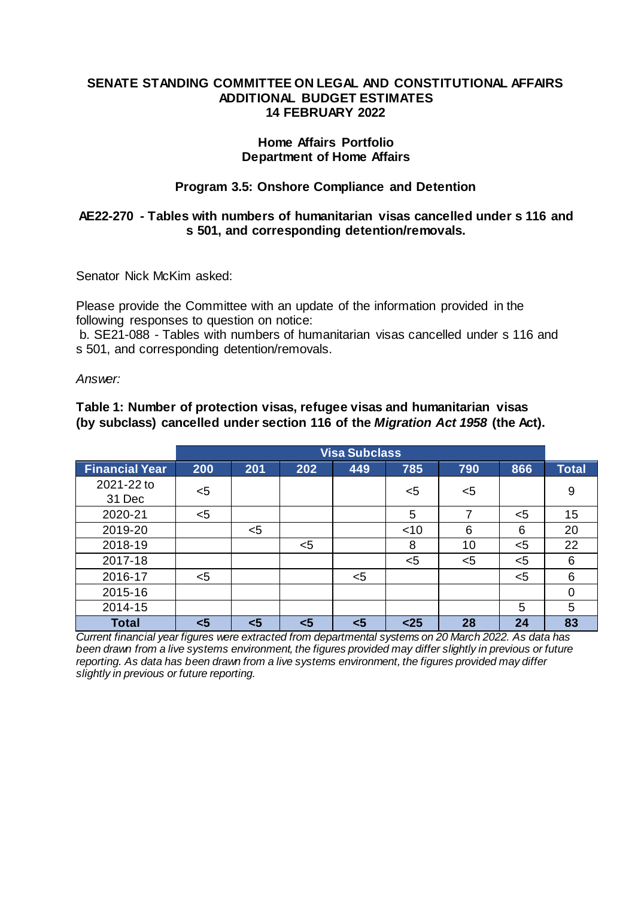#### **SENATE STANDING COMMITTEE ON LEGAL AND CONSTITUTIONAL AFFAIRS ADDITIONAL BUDGET ESTIMATES 14 FEBRUARY 2022**

#### **Home Affairs Portfolio Department of Home Affairs**

# **Program 3.5: Onshore Compliance and Detention**

# **AE22-270 - Tables with numbers of humanitarian visas cancelled under s 116 and s 501, and corresponding detention/removals.**

Senator Nick McKim asked:

Please provide the Committee with an update of the information provided in the following responses to question on notice:

b. SE21-088 - Tables with numbers of humanitarian visas cancelled under s 116 and s 501, and corresponding detention/removals.

*Answer:*

**Table 1: Number of protection visas, refugee visas and humanitarian visas (by subclass) cancelled under section 116 of the** *Migration Act 1958* **(the Act).** 

|                       | <b>Visa Subclass</b> |       |     |     |        |     |     |       |
|-----------------------|----------------------|-------|-----|-----|--------|-----|-----|-------|
| <b>Financial Year</b> | 200                  | 201   | 202 | 449 | 785    | 790 | 866 | Total |
| 2021-22 to<br>31 Dec  | $5$                  |       |     |     | <5     | $5$ |     | 9     |
| 2020-21               | $5$                  |       |     |     | 5      | 7   | $5$ | 15    |
| 2019-20               |                      | $<$ 5 |     |     | $<$ 10 | 6   | 6   | 20    |
| 2018-19               |                      |       | $5$ |     | 8      | 10  | $5$ | 22    |
| 2017-18               |                      |       |     |     | $5$    | $5$ | $5$ | 6     |
| 2016-17               | $5$                  |       |     | $5$ |        |     | $5$ | 6     |
| 2015-16               |                      |       |     |     |        |     |     |       |
| 2014-15               |                      |       |     |     |        |     | 5   | 5     |
| <b>Total</b>          | $5$                  | <5    | <5  | <5  | $25$   | 28  | 24  | 83    |

*Current financial year figures were extracted from departmental systems on 20 March 2022. As data has been drawn from a live systems environment, the figures provided may differ slightly in previous or future reporting. As data has been drawn from a live systems environment, the figures provided may differ slightly in previous or future reporting.*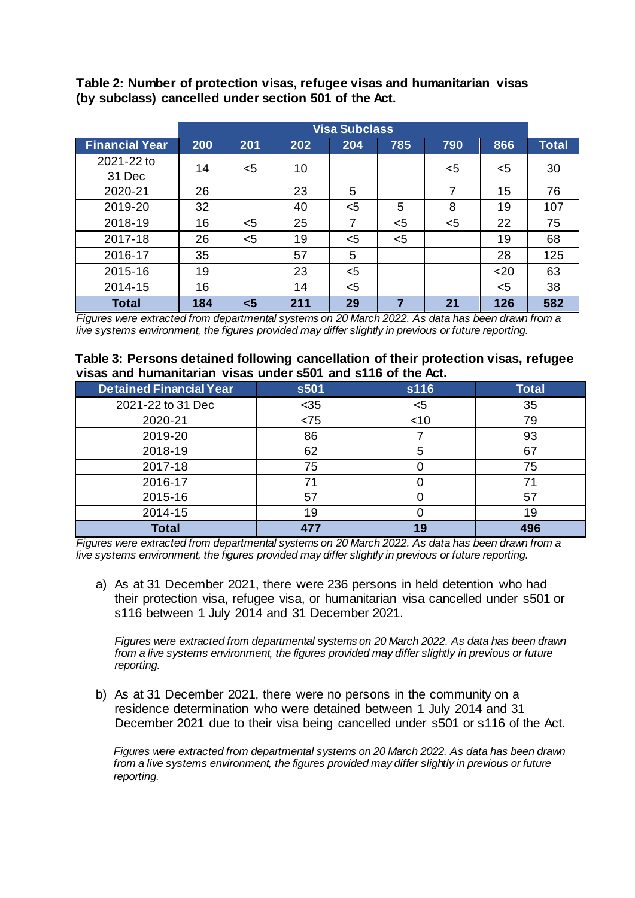|                       | <b>Visa Subclass</b> |       |     |     |     |     |      |       |
|-----------------------|----------------------|-------|-----|-----|-----|-----|------|-------|
| <b>Financial Year</b> | 200                  | 201   | 202 | 204 | 785 | 790 | 866  | Total |
| 2021-22 to<br>31 Dec  | 14                   | $<$ 5 | 10  |     |     | <5  | $5$  | 30    |
| 2020-21               | 26                   |       | 23  | 5   |     | 7   | 15   | 76    |
| 2019-20               | 32                   |       | 40  | $5$ | 5   | 8   | 19   | 107   |
| 2018-19               | 16                   | $<$ 5 | 25  | 7   | $5$ | $5$ | 22   | 75    |
| 2017-18               | 26                   | $<$ 5 | 19  | $5$ | $5$ |     | 19   | 68    |
| 2016-17               | 35                   |       | 57  | 5   |     |     | 28   | 125   |
| 2015-16               | 19                   |       | 23  | $5$ |     |     | $20$ | 63    |
| 2014-15               | 16                   |       | 14  | $5$ |     |     | $5$  | 38    |
| <b>Total</b>          | 184                  | $5$   | 211 | 29  | 7   | 21  | 126  | 582   |

**Table 2: Number of protection visas, refugee visas and humanitarian visas (by subclass) cancelled under section 501 of the Act.**

*Figures were extracted from departmental systems on 20 March 2022. As data has been drawn from a live systems environment, the figures provided may differ slightly in previous or future reporting.*

#### **Table 3: Persons detained following cancellation of their protection visas, refugee visas and humanitarian visas under s501 and s116 of the Act.**

| <b>Detained Financial Year</b> | s501 | s116 | <b>Total</b> |
|--------------------------------|------|------|--------------|
| 2021-22 to 31 Dec              | $35$ | $5$  | 35           |
| 2020-21                        | < 75 | < 10 | 79           |
| 2019-20                        | 86   |      | 93           |
| 2018-19                        | 62   |      | 67           |
| 2017-18                        | 75   |      | 75           |
| 2016-17                        | 71   |      | 71           |
| 2015-16                        | 57   |      | 57           |
| 2014-15                        | 19   |      | 19           |
| <b>Total</b>                   | 477  | 19   | 496          |

*Figures were extracted from departmental systems on 20 March 2022. As data has been drawn from a live systems environment, the figures provided may differ slightly in previous or future reporting.*

a) As at 31 December 2021, there were 236 persons in held detention who had their protection visa, refugee visa, or humanitarian visa cancelled under s501 or s116 between 1 July 2014 and 31 December 2021.

*Figures were extracted from departmental systems on 20 March 2022. As data has been drawn from a live systems environment, the figures provided may differ slightly in previous or future reporting.*

b) As at 31 December 2021, there were no persons in the community on a residence determination who were detained between 1 July 2014 and 31 December 2021 due to their visa being cancelled under s501 or s116 of the Act.

*Figures were extracted from departmental systems on 20 March 2022. As data has been drawn from a live systems environment, the figures provided may differ slightly in previous or future reporting.*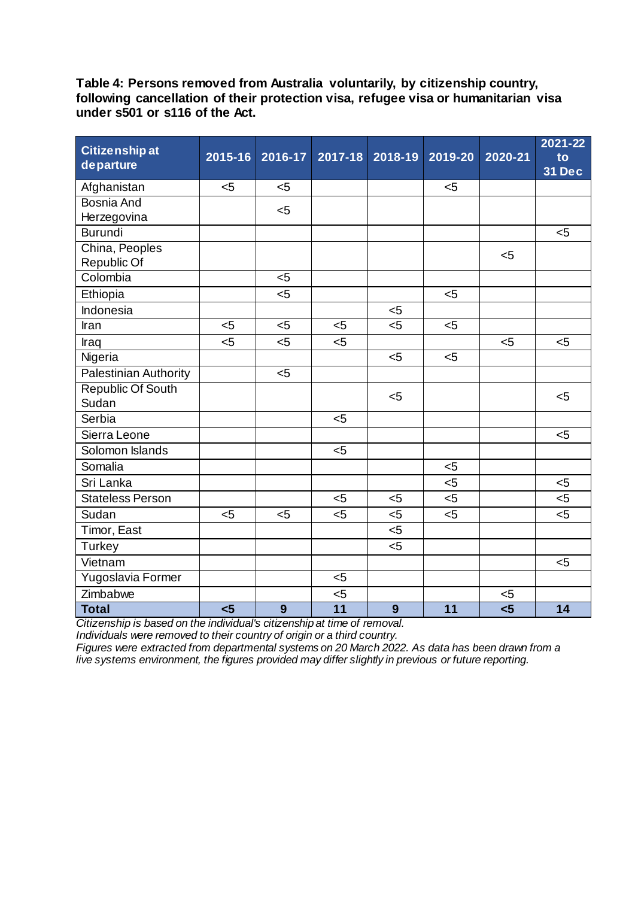**Table 4: Persons removed from Australia voluntarily, by citizenship country, following cancellation of their protection visa, refugee visa or humanitarian visa under s501 or s116 of the Act.**

| <b>Citizenship at</b><br>departure | 2015-16 | 2016-17 | 2017-18 | 2018-19 | 2019-20 | 2020-21 | 2021-22<br>to<br><b>31 Dec</b> |
|------------------------------------|---------|---------|---------|---------|---------|---------|--------------------------------|
| Afghanistan                        | $<$ 5   | $5$     |         |         | $5$     |         |                                |
| <b>Bosnia And</b>                  |         | $5$     |         |         |         |         |                                |
| Herzegovina                        |         |         |         |         |         |         |                                |
| <b>Burundi</b>                     |         |         |         |         |         |         | $<$ 5                          |
| China, Peoples<br>Republic Of      |         |         |         |         |         | $5$     |                                |
| Colombia                           |         | $5$     |         |         |         |         |                                |
| Ethiopia                           |         | 5       |         |         | $5$     |         |                                |
| Indonesia                          |         |         |         | $<$ 5   |         |         |                                |
| Iran                               | < 5     | $5$     | 5       | 5       | $5$     |         |                                |
| Iraq                               | $5$     | $5$     | $5$     |         |         | $<$ 5   | $5$                            |
| Nigeria                            |         |         |         | $5$     | < 5     |         |                                |
| Palestinian Authority              |         | $5$     |         |         |         |         |                                |
| <b>Republic Of South</b>           |         |         |         | $5$     |         |         | $5$                            |
| Sudan                              |         |         |         |         |         |         |                                |
| Serbia                             |         |         | $5$     |         |         |         |                                |
| Sierra Leone                       |         |         |         |         |         |         | $5$                            |
| Solomon Islands                    |         |         | $5$     |         |         |         |                                |
| Somalia                            |         |         |         |         | $5$     |         |                                |
| Sri Lanka                          |         |         |         |         | $5$     |         | $5$                            |
| <b>Stateless Person</b>            |         |         | $5$     | $5$     | $5$     |         | $5$                            |
| Sudan                              | $5$     | 5       | 5       | $5$     | $5$     |         | $5$                            |
| Timor, East                        |         |         |         | $5$     |         |         |                                |
| <b>Turkey</b>                      |         |         |         | $5$     |         |         |                                |
| Vietnam                            |         |         |         |         |         |         | $5$                            |
| Yugoslavia Former                  |         |         | $5$     |         |         |         |                                |
| Zimbabwe                           |         |         | $5$     |         |         | $5$     |                                |
| <b>Total</b>                       | $5$     | 9       | 11      | 9       | 11      | 5       | 14                             |

*Citizenship is based on the individual's citizenship at time of removal.*

*Individuals were removed to their country of origin or a third country.*

*Figures were extracted from departmental systems on 20 March 2022. As data has been drawn from a live systems environment, the figures provided may differ slightly in previous or future reporting.*